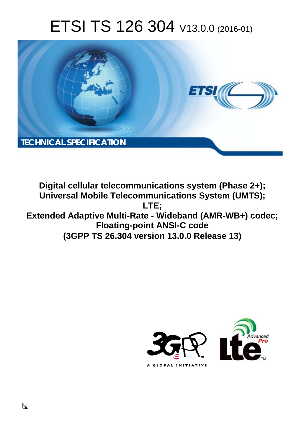# ETSI TS 126 304 V13.0.0 (2016-01)



**Digital cellular telecommunications system (Phase 2+); Universal Mobile Tel elecommunications System ( (UMTS); Extended Adaptive Multi-Rate - Wideband (AMR-WB+) codec; Floatin ting-point ANSI-C code (3GPP TS 26.3 .304 version 13.0.0 Release 13 13) LTE;** 



 $\Box$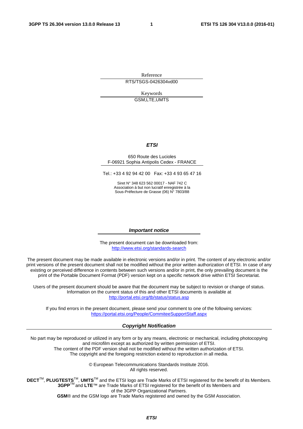Reference RTS/TSGS-0426304vd00

> Keywords GSM,LTE,UMTS

#### *ETSI*

#### 650 Route des Lucioles F-06921 Sophia Antipolis Cedex - FRANCE

Tel.: +33 4 92 94 42 00 Fax: +33 4 93 65 47 16

Siret N° 348 623 562 00017 - NAF 742 C Association à but non lucratif enregistrée à la Sous-Préfecture de Grasse (06) N° 7803/88

#### *Important notice*

The present document can be downloaded from: <http://www.etsi.org/standards-search>

The present document may be made available in electronic versions and/or in print. The content of any electronic and/or print versions of the present document shall not be modified without the prior written authorization of ETSI. In case of any existing or perceived difference in contents between such versions and/or in print, the only prevailing document is the print of the Portable Document Format (PDF) version kept on a specific network drive within ETSI Secretariat.

Users of the present document should be aware that the document may be subject to revision or change of status. Information on the current status of this and other ETSI documents is available at <http://portal.etsi.org/tb/status/status.asp>

If you find errors in the present document, please send your comment to one of the following services: <https://portal.etsi.org/People/CommiteeSupportStaff.aspx>

#### *Copyright Notification*

No part may be reproduced or utilized in any form or by any means, electronic or mechanical, including photocopying and microfilm except as authorized by written permission of ETSI.

The content of the PDF version shall not be modified without the written authorization of ETSI. The copyright and the foregoing restriction extend to reproduction in all media.

> © European Telecommunications Standards Institute 2016. All rights reserved.

**DECT**TM, **PLUGTESTS**TM, **UMTS**TM and the ETSI logo are Trade Marks of ETSI registered for the benefit of its Members. **3GPP**TM and **LTE**™ are Trade Marks of ETSI registered for the benefit of its Members and of the 3GPP Organizational Partners.

**GSM**® and the GSM logo are Trade Marks registered and owned by the GSM Association.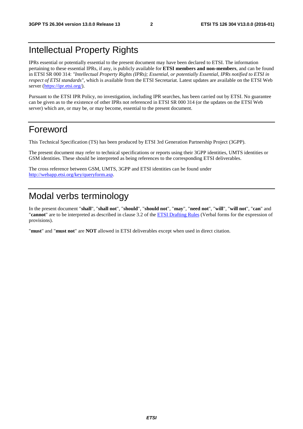### Intellectual Property Rights

IPRs essential or potentially essential to the present document may have been declared to ETSI. The information pertaining to these essential IPRs, if any, is publicly available for **ETSI members and non-members**, and can be found in ETSI SR 000 314: *"Intellectual Property Rights (IPRs); Essential, or potentially Essential, IPRs notified to ETSI in respect of ETSI standards"*, which is available from the ETSI Secretariat. Latest updates are available on the ETSI Web server [\(https://ipr.etsi.org/](https://ipr.etsi.org/)).

Pursuant to the ETSI IPR Policy, no investigation, including IPR searches, has been carried out by ETSI. No guarantee can be given as to the existence of other IPRs not referenced in ETSI SR 000 314 (or the updates on the ETSI Web server) which are, or may be, or may become, essential to the present document.

### Foreword

This Technical Specification (TS) has been produced by ETSI 3rd Generation Partnership Project (3GPP).

The present document may refer to technical specifications or reports using their 3GPP identities, UMTS identities or GSM identities. These should be interpreted as being references to the corresponding ETSI deliverables.

The cross reference between GSM, UMTS, 3GPP and ETSI identities can be found under <http://webapp.etsi.org/key/queryform.asp>.

### Modal verbs terminology

In the present document "**shall**", "**shall not**", "**should**", "**should not**", "**may**", "**need not**", "**will**", "**will not**", "**can**" and "**cannot**" are to be interpreted as described in clause 3.2 of the [ETSI Drafting Rules](http://portal.etsi.org/Help/editHelp!/Howtostart/ETSIDraftingRules.aspx) (Verbal forms for the expression of provisions).

"**must**" and "**must not**" are **NOT** allowed in ETSI deliverables except when used in direct citation.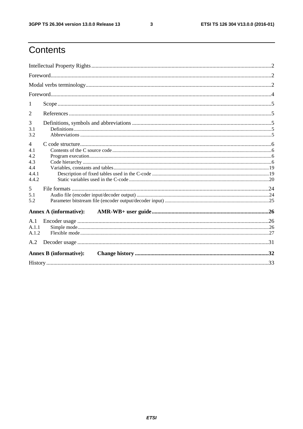$\mathbf{3}$ 

### Contents

| 1                                                            |                               |  |
|--------------------------------------------------------------|-------------------------------|--|
| $\overline{2}$                                               |                               |  |
| 3<br>3.1<br>3.2                                              |                               |  |
| $\overline{4}$<br>4.1<br>4.2<br>4.3<br>4.4<br>4.4.1<br>4.4.2 |                               |  |
| 5<br>5.1<br>5.2                                              |                               |  |
|                                                              | <b>Annex A (informative):</b> |  |
| A.1<br>A.1.1<br>A.1.2                                        |                               |  |
| A.2                                                          |                               |  |
|                                                              | <b>Annex B</b> (informative): |  |
|                                                              |                               |  |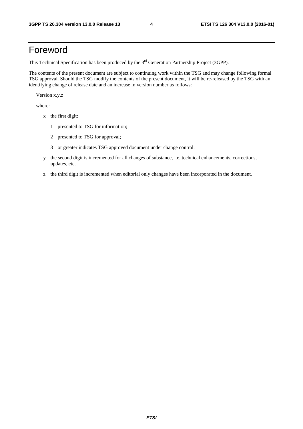### Foreword

This Technical Specification has been produced by the 3<sup>rd</sup> Generation Partnership Project (3GPP).

The contents of the present document are subject to continuing work within the TSG and may change following formal TSG approval. Should the TSG modify the contents of the present document, it will be re-released by the TSG with an identifying change of release date and an increase in version number as follows:

Version x.y.z

where:

- x the first digit:
	- 1 presented to TSG for information;
	- 2 presented to TSG for approval;
	- 3 or greater indicates TSG approved document under change control.
- y the second digit is incremented for all changes of substance, i.e. technical enhancements, corrections, updates, etc.
- z the third digit is incremented when editorial only changes have been incorporated in the document.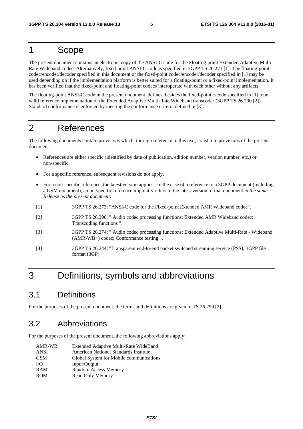### 1 Scope

The present document contains an electronic copy of the ANSI-C code for the Floating-point Extended Adaptive Multi-Rate Wideband codec. Alternatively, fixed-point ANSI-C code is specified in 3GPP TS 26.273 [1]. The floating-point codec/encoder/decoder specified in this document or the fixed-point codec/encoder/decoder specified in [1] may be used depending on if the implementation platform is better suited for a floating-point or a fixed-point implementation. It has been verified that the fixed-point and floating-point codecs interoperate with each other without any artifacts.

The floating-point ANSI-C code in the present document defines, besides the fixed-point c-code specified in [1], one valid reference implementation of the Extended Adaptive Multi-Rate Wideband transcoder (3GPP TS 26.290 [2]). Standard conformance is enforced by meeting the conformance criteria defined in [3].

### 2 References

The following documents contain provisions which, through reference in this text, constitute provisions of the present document.

- References are either specific (identified by date of publication, edition number, version number, etc.) or non-specific.
- For a specific reference, subsequent revisions do not apply.
- For a non-specific reference, the latest version applies. In the case of a reference to a 3GPP document (including a GSM document), a non-specific reference implicitly refers to the latest version of that document *in the same Release as the present document*.
- [1] 3GPP TS 26.273: "ANSI-C code for the Fixed-point Extended AMR Wideband codec".
- [2] 3GPP TS 26.290: " Audio codec processing functions; Extended AMR Wideband codec; Transcoding functions ".
- [3] 3GPP TS 26.274: " Audio codec processing functions; Extended Adaptive Multi-Rate Wideband (AMR-WB+) codec; Conformance testing ".
- [4] 3GPP TS 26.244: "Transparent end-to-end packet switched streaming service (PSS); 3GPP file format (3GP)"

### 3 Definitions, symbols and abbreviations

### 3.1 Definitions

For the purposes of the present document, the terms and definitions are given in TS 26.290 [2].

### 3.2 Abbreviations

For the purposes of the present document, the following abbreviations apply:

| Extended Adaptive Multi-Rate WideBand   |
|-----------------------------------------|
| American National Standards Institute   |
| Global System for Mobile communications |
| Input/Output                            |
| <b>Random Access Memory</b>             |
| Read Only Memory                        |
|                                         |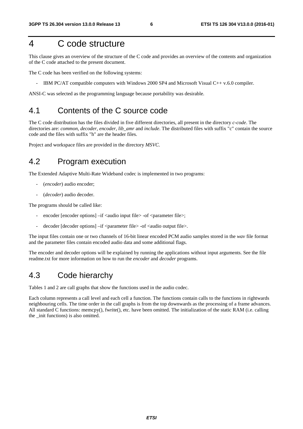### 4 C code structure

This clause gives an overview of the structure of the C code and provides an overview of the contents and organization of the C code attached to the present document.

The C code has been verified on the following systems:

- IBM PC/AT compatible computers with Windows 2000 SP4 and Microsoft Visual C++ v.6.0 compiler.

ANSI-C was selected as the programming language because portability was desirable.

### 4.1 Contents of the C source code

The C code distribution has the files divided in five different directories, all present in the directory *c-code*. The directories are: *common, decoder, encoder, lib\_amr* and *include*. The distributed files with suffix "c" contain the source code and the files with suffix "h" are the header files.

Project and workspace files are provided in the directory *MSVC*.

### 4.2 Program execution

The Extended Adaptive Multi-Rate Wideband codec is implemented in two programs:

- (*encoder*) audio encoder;
- (*decoder*) audio decoder.

The programs should be called like:

- encoder [encoder options] –if <audio input file> -of <parameter file>;
- decoder [decoder options] –if <parameter file> -of <audio output file>.

The input files contain one or two channels of 16-bit linear encoded PCM audio samples stored in the *wav* file format and the parameter files contain encoded audio data and some additional flags.

The encoder and decoder options will be explained by running the applications without input arguments. See the file readme.txt for more information on how to run the *encoder* and *decoder* programs.

### 4.3 Code hierarchy

Tables 1 and 2 are call graphs that show the functions used in the audio codec.

Each column represents a call level and each cell a function. The functions contain calls to the functions in rightwards neighbouring cells. The time order in the call graphs is from the top downwards as the processing of a frame advances. All standard C functions: memcpy(), fwrite(), etc. have been omitted. The initialization of the static RAM (i.e. calling the \_init functions) is also omitted.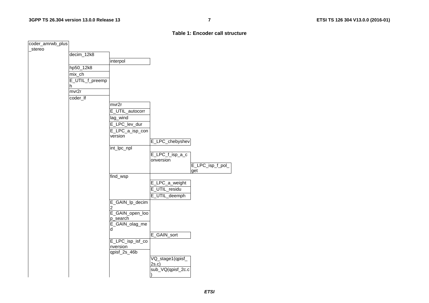#### **Table 1: Encoder call structure**

| coder_amrwb_plus |                 |                                   |                   |                         |
|------------------|-----------------|-----------------------------------|-------------------|-------------------------|
| stereo           |                 |                                   |                   |                         |
|                  | decim_12k8      |                                   |                   |                         |
|                  |                 | interpol                          |                   |                         |
|                  | hp50_12k8       |                                   |                   |                         |
|                  | mix_ch          |                                   |                   |                         |
|                  | E_UTIL_f_preemp |                                   |                   |                         |
|                  | h               |                                   |                   |                         |
|                  | mvr2r           |                                   |                   |                         |
|                  | coder_lf        |                                   |                   |                         |
|                  |                 | mvr2r                             |                   |                         |
|                  |                 | E_UTIL_autocorr                   |                   |                         |
|                  |                 |                                   |                   |                         |
|                  |                 | lag_wind                          |                   |                         |
|                  |                 | E_LPC_lev_dur                     |                   |                         |
|                  |                 | E_LPC_a_isp_con                   |                   |                         |
|                  |                 | version                           |                   |                         |
|                  |                 |                                   | E_LPC_chebyshev   |                         |
|                  |                 | int_lpc_npl                       |                   |                         |
|                  |                 |                                   | E_LPC_f_isp_a_c   |                         |
|                  |                 |                                   | onversion         |                         |
|                  |                 |                                   |                   | E_LPC_isp_f_pol_<br>get |
|                  |                 | find_wsp                          |                   |                         |
|                  |                 |                                   | E_LPC_a_weight    |                         |
|                  |                 |                                   | E_UTIL_residu     |                         |
|                  |                 |                                   |                   |                         |
|                  |                 |                                   | E_UTIL_deemph     |                         |
|                  |                 | E_GAIN_lp_decim                   |                   |                         |
|                  |                 | $\overline{2}$<br>E_GAIN_open_loo |                   |                         |
|                  |                 | p_search                          |                   |                         |
|                  |                 | E_GAIN_olag_me                    |                   |                         |
|                  |                 | d                                 |                   |                         |
|                  |                 |                                   | E_GAIN_sort       |                         |
|                  |                 | E_LPC_isp_isf_co                  |                   |                         |
|                  |                 | nversion                          |                   |                         |
|                  |                 | $qpisf_2s_46b$                    |                   |                         |
|                  |                 |                                   | VQ_stage1(qpisf_  |                         |
|                  |                 |                                   | 2s.c              |                         |
|                  |                 |                                   | sub_VQ(qpisf_2c.c |                         |
|                  |                 |                                   |                   |                         |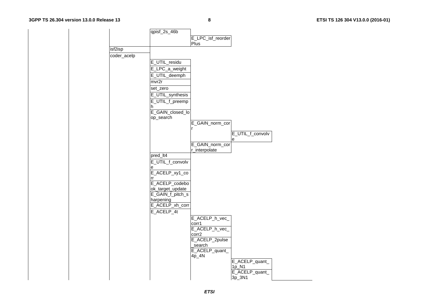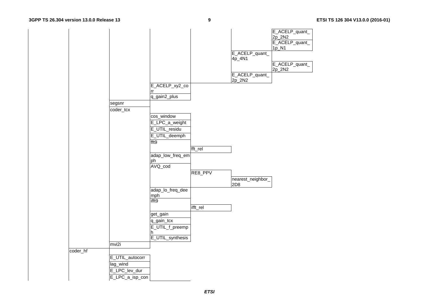|          |                 |                  |          |                   | E_ACELP_quant_ |
|----------|-----------------|------------------|----------|-------------------|----------------|
|          |                 |                  |          |                   | 2p_2N2         |
|          |                 |                  |          |                   | E_ACELP_quant_ |
|          |                 |                  |          |                   | 1p_N1          |
|          |                 |                  |          | E_ACELP_quant_    |                |
|          |                 |                  |          | 4p_4N1            |                |
|          |                 |                  |          |                   | E_ACELP_quant_ |
|          |                 |                  |          |                   | 2p_2N2         |
|          |                 |                  |          | E_ACELP_quant_    |                |
|          |                 |                  |          | 2p_2N2            |                |
|          |                 | E_ACELP_xy2_co   |          |                   |                |
|          |                 | rr               |          |                   |                |
|          |                 | q_gain2_plus     |          |                   |                |
|          | segsnr          |                  |          |                   |                |
|          | coder_tcx       |                  |          |                   |                |
|          |                 | cos_window       |          |                   |                |
|          |                 | E_LPC_a_weight   |          |                   |                |
|          |                 |                  |          |                   |                |
|          |                 | E_UTIL_residu    |          |                   |                |
|          |                 | E_UTIL_deemph    |          |                   |                |
|          |                 | fft9             |          |                   |                |
|          |                 |                  | fft_rel  |                   |                |
|          |                 | adap_low_freq_em |          |                   |                |
|          |                 | ph               |          |                   |                |
|          |                 | AVQ_cod          |          |                   |                |
|          |                 |                  | RE8_PPV  |                   |                |
|          |                 |                  |          | nearest_neighbor_ |                |
|          |                 |                  |          | 2D8               |                |
|          |                 | adap_lo_freq_dee |          |                   |                |
|          |                 |                  |          |                   |                |
|          |                 | mph<br>ifft9     |          |                   |                |
|          |                 |                  | ifft_rel |                   |                |
|          |                 | get_gain         |          |                   |                |
|          |                 |                  |          |                   |                |
|          |                 | q_gain_tcx       |          |                   |                |
|          |                 | E_UTIL_f_preemp  |          |                   |                |
|          |                 | h                |          |                   |                |
|          |                 | E_UTIL_synthesis |          |                   |                |
|          | mvi2i           |                  |          |                   |                |
| coder_hf |                 |                  |          |                   |                |
|          | E_UTIL_autocorr |                  |          |                   |                |
|          | lag_wind        |                  |          |                   |                |
|          | E_LPC_lev_dur   |                  |          |                   |                |
|          |                 |                  |          |                   |                |
|          | E_LPC_a_isp_con |                  |          |                   |                |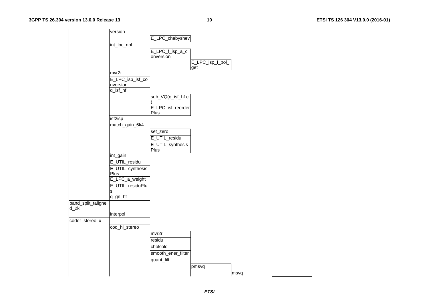**10 ETSI TS 126 304 V13.0.0 (2016-01)**

|                |                    | version          |                    |                  |      |  |
|----------------|--------------------|------------------|--------------------|------------------|------|--|
|                |                    |                  | E_LPC_chebyshev    |                  |      |  |
|                |                    | int_lpc_npl      |                    |                  |      |  |
|                |                    |                  |                    |                  |      |  |
|                |                    |                  | E_LPC_f_isp_a_c    |                  |      |  |
|                |                    |                  | onversion          |                  |      |  |
|                |                    |                  |                    | E_LPC_isp_f_pol_ |      |  |
|                |                    | mvr2r            |                    | get              |      |  |
|                |                    |                  |                    |                  |      |  |
|                |                    | E_LPC_isp_isf_co |                    |                  |      |  |
|                |                    | nversion         |                    |                  |      |  |
|                |                    | $q_{isf_h}$      |                    |                  |      |  |
|                |                    |                  | sub_VQ(q_isf_hf.c  |                  |      |  |
|                |                    |                  |                    |                  |      |  |
|                |                    |                  | E_LPC_isf_reorder  |                  |      |  |
|                |                    |                  | Plus               |                  |      |  |
|                |                    | isf2isp          |                    |                  |      |  |
|                |                    | match_gain_6k4   |                    |                  |      |  |
|                |                    |                  | set_zero           |                  |      |  |
|                |                    |                  | E_UTIL_residu      |                  |      |  |
|                |                    |                  | E_UTIL_synthesis   |                  |      |  |
|                |                    |                  | Plus               |                  |      |  |
|                |                    | int_gain         |                    |                  |      |  |
|                |                    | E_UTIL_residu    |                    |                  |      |  |
|                |                    | E_UTIL_synthesis |                    |                  |      |  |
|                |                    | Plus             |                    |                  |      |  |
|                |                    | E_LPC_a_weight   |                    |                  |      |  |
|                |                    |                  |                    |                  |      |  |
|                |                    | E_UTIL_residuPlu |                    |                  |      |  |
|                |                    | s                |                    |                  |      |  |
|                |                    | $q_g - hf$       |                    |                  |      |  |
|                | band_split_taligne |                  |                    |                  |      |  |
| $d_2k$         |                    |                  |                    |                  |      |  |
|                |                    | interpol         |                    |                  |      |  |
| coder_stereo_x |                    |                  |                    |                  |      |  |
|                |                    | cod_hi_stereo    |                    |                  |      |  |
|                |                    |                  | mvr2r              |                  |      |  |
|                |                    |                  | residu             |                  |      |  |
|                |                    |                  | cholsolc           |                  |      |  |
|                |                    |                  | smooth_ener_filter |                  |      |  |
|                |                    |                  |                    |                  |      |  |
|                |                    |                  | quant_filt         |                  |      |  |
|                |                    |                  |                    | pmsvq            |      |  |
|                |                    |                  |                    |                  | msvq |  |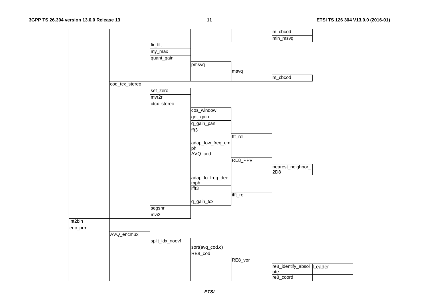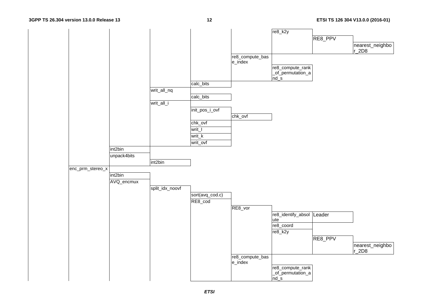#### **3GPP TS 26.304 version 13.0.0 Release 13**

#### **12 ETSI TS 126 304 V13.0.0 (2016-01)**

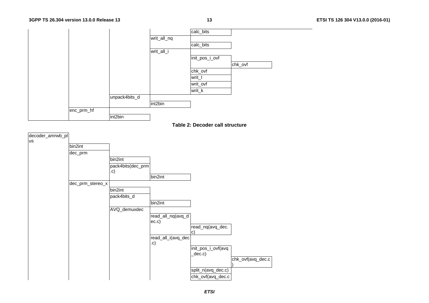

**Table 2: Decoder call structure** 

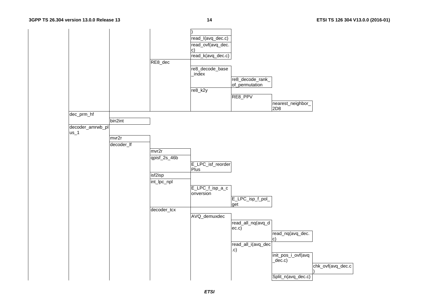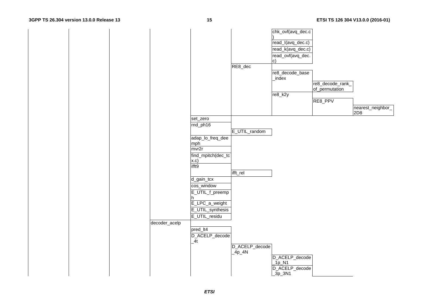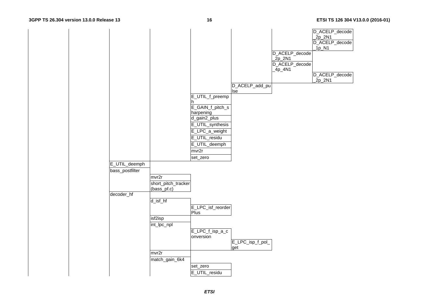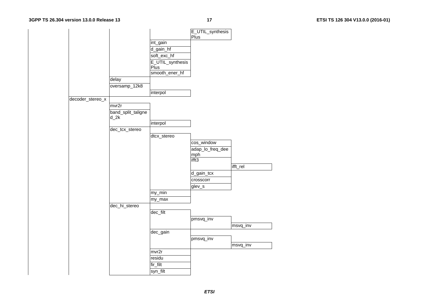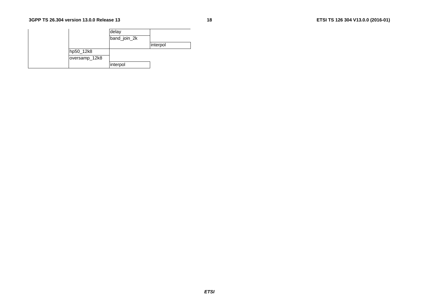|               | delay        |          |
|---------------|--------------|----------|
|               | band_join_2k |          |
|               |              | interpol |
| hp50_12k8     |              |          |
| oversamp_12k8 |              |          |
|               | interpol     |          |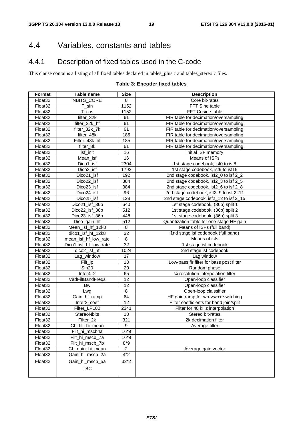### 4.4 Variables, constants and tables

### 4.4.1 Description of fixed tables used in the C-code

This clause contains a listing of all fixed tables declared in tables\_plus.c and tables\_stereo.c files.

### **Table 3: Encoder fixed tables**

| Format              | <b>Table name</b>     | <b>Size</b>      | <b>Description</b>                       |
|---------------------|-----------------------|------------------|------------------------------------------|
| Float32             | NBITS_CORE            | 8                | Core bit-rates                           |
| Float32             | $T$ _sin              | 1152             | FFT Sine table                           |
| Float <sub>32</sub> | T.<br>$\cos$          | 1152             | FFT Cosine table                         |
| Float32             | filter_32k            | 61               | FIR table for decimation/oversampling    |
| Float32             | filter_32k_hf         | 61               | FIR table for decimation/oversampling    |
| Float32             | filter_32k_7k         | 61               | FIR table for decimation/oversampling    |
| Float32             | filter_48k            | 185              | FIR table for decimation/oversampling    |
| Float32             | Filter_48k_hf         | 185              | FIR table for decimation/oversampling    |
| Float32             | filter_8k             | 61               | FIR table for decimation/oversampling    |
| Float <sub>32</sub> | isf_init              | 16               | Initial ISF memory                       |
| Float32             | Mean_isf              | 16               | Means of ISFs                            |
| Float32             | Dico1_isf             | 2304             | 1st stage codebook, isf0 to isf8         |
| Float32             | Dico2_isf             | 1792             | 1st stage codebook, isf9 to isf15        |
| Float32             | Dico21_isf            | 192              | 2nd stage codebook, isf2_0 to isf 2_2    |
| Float32             | Dico22_isf            | 384              | 2nd stage codebook, isf2_3 to isf 2_5    |
| Float <sub>32</sub> | Dico23_isf            | 384              | 2nd stage codebook, isf2_6 to isf 2_8    |
| Float <sub>32</sub> | Dico24_isf            | 96               | 2nd stage codebook, isf2_9 to isf 2_11   |
| Float32             | Dico25_isf            | 128              | 2nd stage codebook, isf2_12 to isf 2_15  |
| Float32             | Dico21_isf_36b        | 640              | 1st stage codebook, (36b) split 1        |
| Float32             | Dico22_isf_36b        | $\overline{512}$ | 1st stage codebook, (36b) split 2        |
| Float32             | Dico23_isf_36b        | 448              | 1st stage codebook, (36b) split 3        |
| Float32             | Dico_gain_hf          | 512              | Quantization table for one-stage HF gain |
| Float32             | Mean isf hf 12k8      | 8                | Means of ISFs (full band)                |
| Float <sub>32</sub> | dico1_isf_hf_12k8     | 32               | 1nd stage isf codebook (full band)       |
| Float32             | mean_isf_hf_low_rate  | 8                | Means of isfs                            |
| Float <sub>32</sub> | Dico1_isf_hf_low_rate | 32               | 1st stage isf codebook                   |
| Float <sub>32</sub> | dico2_isf_hf          | 1024             | 2nd stage isf codebook                   |
| Float32             | Lag_window            | 17               | Lag window                               |
| Float32             | Filt_lp               | 13               | Low-pass fir filter for bass post filter |
| Float32             | Sin20                 | 20               | Random phase                             |
| Float32             | $Inter4_2$            | 65               | 1⁄4 resolution interpolation filter      |
| Float32             | VadFiltBandFreqs      | 12               | Open-loop classifier                     |
| Float32             | <b>Bw</b>             | 12               | Open-loop classifier                     |
| Float32             | Lwg                   | 8                | Open-loop claissifier                    |
| Float32             | Gain_hf_ramp          | 64               | HF gain ramp for wb->wb+ switching       |
| Float32             | Inter2_coef           | 12               | Filter coefficients for band join/split  |
| Float32             | Filter_LP180          | 2341             | Filter for 48 kHz interpolation          |
| Float32             | StereoNbits           | 18               | Stereo bit-rates                         |
| Float32             | Filter_2k             | 321              | 2k decimation filter                     |
| Float <sub>32</sub> | Cb_filt_hi_mean       | 9                | Average filter                           |
| Float <sub>32</sub> | Filt_hi_mscb4a        | $16*9$           |                                          |
| Float <sub>32</sub> | Filt_hi_mscb_7a       | $16*9$           |                                          |
| Float <sub>32</sub> | Filt_hi_mscb_7b       | $8*9$            |                                          |
| Float32             | Cb_gain_hi_mean       | $\overline{a}$   | Average gain vector                      |
| Float32             | Gain_hi_mscb_2a       | $4*2$            |                                          |
| Float32             | Gain_hi_mscb_5a       | $32*2$           |                                          |
|                     | <b>TBC</b>            |                  |                                          |
|                     |                       |                  |                                          |
|                     |                       |                  |                                          |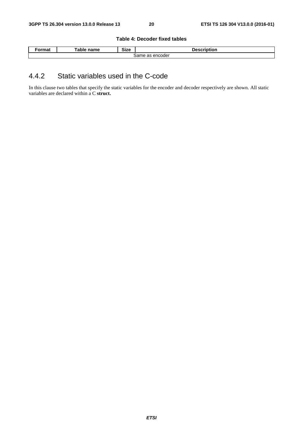#### **Table 4: Decoder fixed tables**

| ˈormat                 | <b>⊺able name</b> | <b>Size</b><br>__ | Description |  |  |
|------------------------|-------------------|-------------------|-------------|--|--|
| . encoder د<br>Same as |                   |                   |             |  |  |

### 4.4.2 Static variables used in the C-code

In this clause two tables that specify the static variables for the encoder and decoder respectively are shown. All static variables are declared within a C **struct.**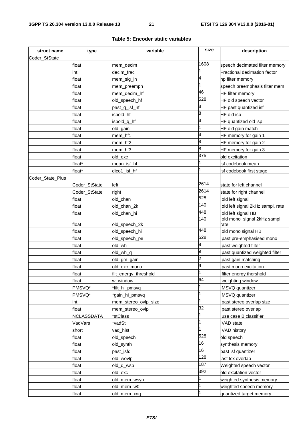| struct name      | type            | variable                               | size           | description                                |
|------------------|-----------------|----------------------------------------|----------------|--------------------------------------------|
| Coder_StState    |                 |                                        |                |                                            |
|                  | float           | mem_decim                              | 1608           | speech decimated filter memory             |
|                  | int             | decim frac                             |                | Fractional decimation factor               |
|                  | float           | mem_sig_in                             | 4              | hp filter memory                           |
|                  | float           | mem_preemph                            |                | speech preemphasis filter mem              |
|                  | float           | mem_decim_hf                           | 46             | <b>HF</b> filter memory                    |
|                  | float           | old_speech_hf                          | 528            | HF old speech vector                       |
|                  | float           | past_q_isf_hf                          | 8              | HF past quantized isf                      |
|                  | float           | ispold_hf                              | 8              | HF old isp                                 |
|                  | float           | ispold_q_hf                            | 8              | HF quantized old isp                       |
|                  | float           | old_gain;                              | $\overline{1}$ | HF old gain match                          |
|                  | float           | mem_hf1                                | 8              | HF memory for gain 1                       |
|                  | float           | mem_hf2                                | 8              | HF memory for gain 2                       |
|                  | float           | mem_hf3                                | 8              | HF memory for gain 3                       |
|                  | float           | old exc                                | 375            | old excitation                             |
|                  | float*          | mean isf hf                            |                | isf codebook mean                          |
|                  | float*          | dico1_isf_hf                           | 1              | isf codebook first stage                   |
| Coder_State_Plus |                 |                                        |                |                                            |
|                  | Coder_StState   | left                                   | 2614           | state for left channel                     |
|                  | Coder_StState   | right                                  | 2614           | state for right channel                    |
|                  | float           | old_chan                               | 528            | old left signal                            |
|                  | float           | old_chan_2k                            | 140            | old left signal 2kHz sampl. rate           |
|                  | float           | old_chan_hi                            | 448            | old left signal HB                         |
|                  |                 |                                        | 140            | old mono signal 2kHz sampl.                |
|                  | float           | old_speech_2k                          | 448            | rate                                       |
|                  | float           | old_speech_hi                          | 528            | old mono signal HB                         |
|                  | float           | old_speech_pe                          | 9              | past pre-emphasised mono                   |
|                  | float<br>float  | old wh                                 | 9              | past weighted filter                       |
|                  | float           | old_wh_q                               | 2              | past quantized weighted filter             |
|                  |                 | old_gm_gain                            | 9              | past gain matching<br>past mono excitation |
|                  | float<br>float  | old_exc_mono                           | 1              |                                            |
|                  |                 | filt_energy_threshold                  | 64             | filter energy thershold                    |
|                  | float<br>PMSVQ* | w_window                               | $\mathbf{1}$   | weighting window                           |
|                  | PMSVQ*          | *filt_hi_pmsvq                         | $\mathbf{1}$   | MSVQ quantizer<br>MSVQ quantizer           |
|                  | int             | *gain_hi_pmsvq<br>mem_stereo_ovlp_size | 1              | past stereo overlap size                   |
|                  | float           | mem_stereo_ovlp                        | 32             | past stereo overlap                        |
|                  | NCLASSDATA      | *stClass                               | 1              | use case B classifier                      |
|                  | VadVars         | vadSt <sup>*</sup>                     | $\mathbf{1}$   | VAD state                                  |
|                  | short           | vad_hist                               | l1             | VAD history                                |
|                  | float           | old_speech                             | 528            | old speech                                 |
|                  | float           | old_synth                              | 16             | synthesis memory                           |
|                  | float           | past_isfq                              | 16             | past isf quantizer                         |
|                  | float           | old_wovlp                              | 128            | last tcx overlap                           |
|                  | float           | old_d_wsp                              | 187            | Weighted speech vector                     |
|                  | float           | old_exc                                | 392            | old excitation vector                      |
|                  | float           | old_mem_wsyn                           | 1              | weighted synthesis memory                  |
|                  | float           | old_mem_w0                             | $\mathbf{1}$   | weighted speech memory                     |
|                  | float           | old_mem_xnq                            | 1              | quantized target memory                    |

#### **Table 5: Encoder static variables**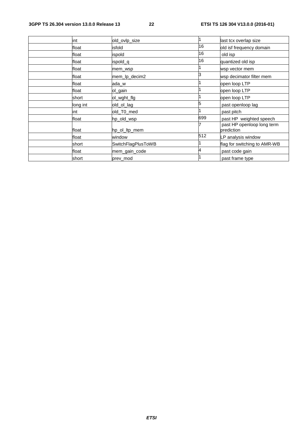| int      | old_ovlp_size      |     | last tcx overlap size                    |
|----------|--------------------|-----|------------------------------------------|
| float    | isfold             | 16  | old isf frequency domain                 |
| float    | ispold             | 16  | old isp                                  |
| float    | ispold_q           | 16  | quantized old isp                        |
| float    | mem_wsp            |     | wsp vector mem                           |
| float    | mem_lp_decim2      | 3   | wsp decimator filter mem                 |
| float    | ada w              |     | open loop LTP                            |
| float    | ol_gain            |     | open loop LTP                            |
| short    | ol_wght_flg        |     | open loop LTP                            |
| long int | old_ol_lag         | 5   | past openloop lag                        |
| int      | old_T0_med         |     | past pitch                               |
| float    | hp_old_wsp         | 699 | past HP weighted speech                  |
| float    | hp_ol_ltp_mem      |     | past HP openloop long term<br>prediction |
| float    | window             | 512 | LP analysis window                       |
| short    | SwitchFlagPlusToWB |     | flag for switching to AMR-WB             |
| float    | mem_gain_code      | 4   | past code gain                           |
| short    | prev_mod           |     | past frame type                          |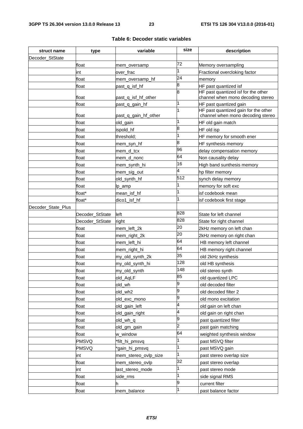| struct name        | type            | variable             | size        | description                                                               |
|--------------------|-----------------|----------------------|-------------|---------------------------------------------------------------------------|
| Decoder StState    |                 |                      |             |                                                                           |
|                    | float           | mem_oversamp         | 72          | Memory oversampling                                                       |
|                    | int             | over frac            | 1           | Fractional overcloking factor                                             |
|                    | float           | mem_oversamp_hf      | 24          | memory                                                                    |
|                    | float           | past_q_isf_hf        | 8           | HF past quantized isf                                                     |
|                    | float           | past_q_isf_hf_other  | 8           | HF past quantized isf for the other<br>channel when mono decoding stereo  |
|                    | float           | past_q_gain_hf       | 1           | HF past quantized gain                                                    |
|                    | float           | past_q_gain_hf_other | 1           | HF past quantized gain for the other<br>channel when mono decoding stereo |
|                    | float           | old_gain             | 1           | HF old gain match                                                         |
|                    | float           | ispold_hf            | 8           | HF old isp                                                                |
|                    | float           | threshold;           | 1           | HF memory for smooth ener                                                 |
|                    | float           | mem_syn_hf           | 8           | HF synthesis memory                                                       |
|                    | float           | mem d tcx            | 96          | delay compensation memory                                                 |
|                    | float           | mem_d_nonc           | 64          | Non causality delay                                                       |
|                    | float           | mem_synth_hi         | 16          | High band sunthesis memory                                                |
|                    | float           | mem_sig_out          | 4           | hp filter memory                                                          |
|                    | float           | old_synth_hf         | 512         | synch delay memory                                                        |
|                    | float           | lp_amp               |             | memory for soft exc                                                       |
|                    | float*          | mean_isf_hf          | 1           | isf codebook mean                                                         |
|                    | float*          | dico1_isf_hf         | 1           | isf codebook first stage                                                  |
| Decoder_State_Plus |                 |                      |             |                                                                           |
|                    | Decoder_StState | left                 | 828         | State for left channel                                                    |
|                    | Decoder_StState | right                | 828         | State for right channel                                                   |
|                    | float           | mem_left_2k          | 20          | 2kHz memory on left chan                                                  |
|                    | float           | mem_right_2k         | 20          | 2kHz memory on right chan                                                 |
|                    | float           | mem_left_hi          | 64          | HB memory left channel                                                    |
|                    | float           | mem_right_hi         | 64          | HB memory right channel                                                   |
|                    | float           | my_old_synth_2k      | 35          | old 2kHz synthesis                                                        |
|                    | float           | my_old_synth_hi      | 128         | old HB synthesis                                                          |
|                    | float           | my_old_synth         | 148         | old stereo synth                                                          |
|                    | float           | old_AqLF             | 85          | old quantized LPC                                                         |
|                    | float           | old_wh               | 9           | old decoded filter                                                        |
|                    | float           | old_wh2              | 9           | old decoded filter 2                                                      |
|                    | float           | old_exc_mono         | 9           | old mono excitation                                                       |
|                    | float           | old_gain_left        | 4           | old gain on left chan                                                     |
|                    | float           | old_gain_right       | 4           | old gain on right chan                                                    |
|                    | float           | old_wh_q             | 9           | past quantized filter                                                     |
|                    | float           | old_gm_gain          | 2           | past gain matching                                                        |
|                    | float           | w_window             | 64          | weighted synthesis window                                                 |
|                    | <b>PMSVQ</b>    | *filt_hi_pmsvq       | 1           | past MSVQ filter                                                          |
|                    | <b>PMSVQ</b>    | *gain_hi_pmsvq       | 1           | past MSVQ gain                                                            |
|                    | int             | mem_stereo_ovlp_size | $\mathbf 1$ | past stereo overlap size                                                  |
|                    | float           | mem_stereo_ovlp      | 32          | past stereo overlap                                                       |
|                    | int             |                      | 1           |                                                                           |
|                    |                 | last_stereo_mode     | 1           | past stereo mode                                                          |
|                    | float           | side_rms             | 9           | side signal RMS                                                           |
|                    | float           | h                    |             | current filter                                                            |
|                    | float           | mem_balance          |             | past balance factor                                                       |

#### **Table 6: Decoder static variables**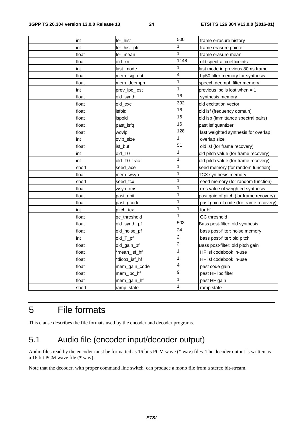| int   | fer hist      | 500  | frame errasure history                  |
|-------|---------------|------|-----------------------------------------|
| int   | fer hist ptr  |      | frame erasure pointer                   |
| float | fer_mean      |      | frame erasure mean                      |
| float | old_xri       | 1148 | old spectral coefficeints               |
| int   | last_mode     |      | last mode in previous 80ms frame        |
| float | mem_sig_out   | 4    | hp50 filter memory for synthesis        |
| float | mem_deemph    | 1    | speech deemph filter memory             |
| int   | prev_lpc_lost | 1    | previous lpc is lost when $=$ 1         |
| float | old_synth     | 16   | synthesis memory                        |
| float | old_exc       | 392  | old excitation vector                   |
| float | isfold        | 16   | old isf (frequency domain)              |
| float | ispold        | 16   | old isp (immittance spectral pairs)     |
| float | past isfq     | 16   | past isf quantizer                      |
| float | wovlp         | 128  | last weighted synthesis for overlap     |
| int   | ovlp_size     |      | overlap size                            |
| float | isf_buf       | 51   | old isf (for frame recovery)            |
| int   | old T0        | 1    | old pitch value (for frame recovery)    |
| int   | old T0 frac   | 1    | old pitch value (for frame recovery)    |
| short | seed_ace      |      | seed memory (for random function)       |
| float | mem_wsyn      | 1    | TCX synthesis memory                    |
| short | seed_tcx      | 1    | seed memory (for random function)       |
| float | wsyn_rms      | 1    | rms value of weighted synthesis         |
| float | past_gpit     | 1    | past gain of pitch (for frame recovery) |
| float | past_gcode    |      | past gain of code (for frame recovery)  |
| int   | pitch_tcx     | 1    | for bfi                                 |
| float | gc_threshold  |      | GC threshold                            |
| float | old_synth_pf  | 503  | Bass post-filter: old synthesis         |
| float | old_noise_pf  | 24   | bass post-filter: noise memory          |
| int   | old_T_pf      | 2    | bass post-filter: old pitch             |
| float | old_gain_pf   | 2    | Bass post-filter: old pitch gain        |
| float | *mean_isf_hf  | 1    | HF isf codebook in-use                  |
| float | *dico1_isf_hf |      | HF isf codebook in-use                  |
| float | mem_gain_code | 4    | past code gain                          |
| float | mem_lpc_hf    | 9    | past HF Ipc filter                      |
| float | mem_gain_hf   | 1    | past HF gain                            |
| short | ramp_state    |      | ramp state                              |

### 5 File formats

This clause describes the file formats used by the encoder and decoder programs.

### 5.1 Audio file (encoder input/decoder output)

Audio files read by the encoder must be formatted as 16 bits PCM wave (\*.wav) files. The decoder output is written as a 16 bit PCM wave file (\*.wav).

Note that the decoder, with proper command line switch, can produce a mono file from a stereo bit-stream.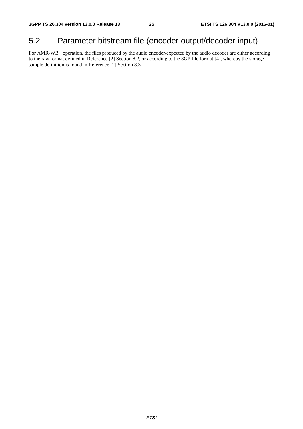### 5.2 Parameter bitstream file (encoder output/decoder input)

For AMR-WB+ operation, the files produced by the audio encoder/expected by the audio decoder are either according to the raw format defined in Reference [2] Section 8.2, or according to the 3GP file format [4], whereby the storage sample definition is found in Reference [2] Section 8.3.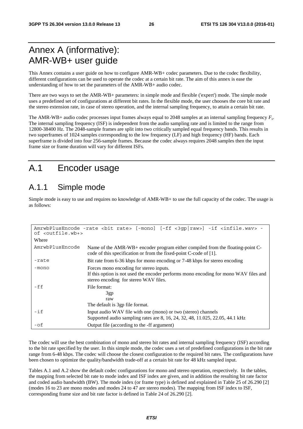### Annex A (informative): AMR-WB+ user guide

This Annex contains a user guide on how to configure AMR-WB+ codec parameters. Due to the codec flexibility, different configurations can be used to operate the codec at a certain bit rate. The aim of this annex is ease the understanding of how to set the parameters of the AMR-WB+ audio codec.

There are two ways to set the AMR-WB+ parameters: in simple mode and flexible ('expert') mode. The simple mode uses a predefined set of configurations at different bit rates. In the flexible mode, the user chooses the core bit rate and the stereo extension rate, in case of stereo operation, and the internal sampling frequency, to attain a certain bit rate.

The AMR-WB+ audio codec processes input frames always equal to 2048 samples at an internal sampling frequency *Fs*. The internal sampling frequency (ISF) is independent from the audio sampling rate and is limited to the range from 12800-38400 Hz. The 2048-sample frames are split into two critically sampled equal frequency bands. This results in two superframes of 1024 samples corresponding to the low frequency (LF) and high frequency (HF) bands. Each superframe is divided into four 256-sample frames. Because the codec always requires 2048 samples then the input frame size or frame duration will vary for different ISFs.

### A.1 Encoder usage

### A.1.1 Simple mode

Simple mode is easy to use and requires no knowledge of AMR-WB+ to use the full capacity of the codec. The usage is as follows:

| of <outfile.wb+></outfile.wb+> | AmrwbPlusEncode -rate <bit rate=""> [-mono] [-ff &lt;3gp raw&gt;] -if <infile.wav> -</infile.wav></bit>                                                                  |
|--------------------------------|--------------------------------------------------------------------------------------------------------------------------------------------------------------------------|
| Where                          |                                                                                                                                                                          |
| AmrwbPlusEncode                | Name of the AMR-WB+ encoder program either compiled from the floating-point C-<br>code of this specification or from the fixed-point C-code of [1].                      |
| -rate                          | Bit rate from 6-36 kbps for mono encoding or 7-48 kbps for stereo encoding                                                                                               |
| -mono                          | Forces mono encoding for stereo inputs.<br>If this option is not used the encoder performs mono encoding for mono WAV files and<br>stereo encoding for stereo WAV files. |
| -ff                            | File format:<br>3gp<br>raw<br>The default is 3gp file format.                                                                                                            |
| $-$ if                         | Input audio WAV file with one (mono) or two (stereo) channels<br>Supported audio sampling rates are 8, 16, 24, 32, 48, 11.025, 22.05, 44.1 kHz                           |
| $- of$                         | Output file (according to the -ff argument)                                                                                                                              |

The codec will use the best combination of mono and stereo bit rates and internal sampling frequency (ISF) according to the bit rate specified by the user. In this simple mode, the codec uses a set of predefined configurations in the bit rate range from 6-48 kbps. The codec will choose the closest configuration to the required bit rates. The configurations have been chosen to optimize the quality/bandwidth trade-off at a certain bit rate for 48 kHz sampled input.

Tables A.1 and A.2 show the default codec configurations for mono and stereo operation, respectively. In the tables, the mapping from selected bit rate to mode index and ISF index are given, and in addition the resulting bit rate factor and coded audio bandwidth (BW). The mode index (or frame type) is defined and explained in Table 25 of 26.290 [2] (modes 16 to 23 are mono modes and modes 24 to 47 are stereo modes). The mapping from ISF index to ISF, corresponding frame size and bit rate factor is defined in Table 24 of 26.290 [2].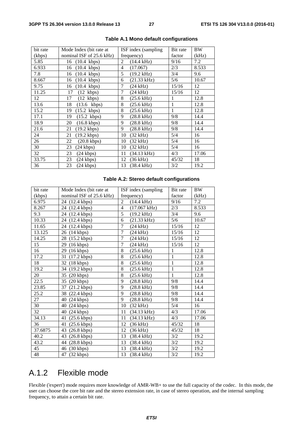| bit rate | Mode Index (bit rate at     | ISF index (sampling                  | Bit rate | <b>BW</b> |
|----------|-----------------------------|--------------------------------------|----------|-----------|
| (kbps)   | nominal ISF of 25.6 kHz)    | frequency)                           | factor   | (kHz)     |
| 5.85     | $(10.4 \text{ kbps})$<br>16 | 2<br>$(14.4 \text{ kHz})$            | 9/16     | 7.2       |
| 6.933    | $(10.4 \text{kbps})$<br>16  | (17.067)<br>$\overline{4}$           | 2/3      | 8.533     |
| 7.8      | $(10.4 \text{ kbps})$<br>16 | 5<br>$(19.2 \text{ kHz})$            | 3/4      | 9.6       |
| 8.667    | $(10.4 \text{ kbps})$<br>16 | $(21.33 \text{ kHz})$<br>6           | 5/6      | 10.67     |
| 9.75     | $(10.4 \text{ kbps})$<br>16 | 7<br>$(24$ kHz)                      | 15/16    | 12        |
| 11.25    | $(12 \text{ kbps})$<br>17   | $\overline{7}$<br>$(24 \text{ kHz})$ | 15/16    | 12        |
| 12       | 17<br>$(12 \text{ kbps})$   | 8<br>$(25.6$ kHz)                    | 1        | 12.8      |
| 13.6     | 18<br>$(13.6 \text{kbps})$  | 8<br>$(25.6$ kHz)                    | 1        | 12.8      |
| 15.2     | 19<br>$(15.2 \text{ kbps})$ | 8<br>$(25.6 \text{ kHz})$            | 1        | 12.8      |
| 17.1     | 19<br>$(15.2 \text{ kbps})$ | 9<br>$(28.8 \text{ kHz})$            | 9/8      | 14.4      |
| 18.9     | 20<br>$(16.8 \text{ kbps})$ | 9<br>$(28.8 \text{ kHz})$            | 9/8      | 14.4      |
| 21.6     | $(19.2 \text{ kbps})$<br>21 | 9<br>$(28.8 \text{ kHz})$            | 9/8      | 14.4      |
| 24       | 21<br>$(19.2 \text{ kbps})$ | $(32$ kHz)<br>10                     | 5/4      | 16        |
| 26       | 22<br>$(20.8 \text{ kbps})$ | $(32$ kHz)<br>10                     | 5/4      | 16        |
| 30       | $(24 \text{ kbps})$<br>23   | $(32$ kHz)<br>10                     | 5/4      | 16        |
| 32       | 23<br>$(24 \text{ kbps})$   | $(34.13 \text{ kHz})$<br>11          | 4/3      | 17.06     |
| 33.75    | 23<br>$(24 \text{ kbps})$   | 12<br>$(36$ kHz)                     | 45/32    | 18        |
| 36       | $(24 \text{ kbps})$<br>23   | $(38.4 \text{ kHz})$<br>13           | 3/2      | 19.2      |

#### **Table A.1 Mono default configurations**

#### **Table A.2: Stereo default configurations**

| bit rate | Mode Index (bit rate at     | ISF index (sampling                      | Bit rate     | <b>BW</b> |
|----------|-----------------------------|------------------------------------------|--------------|-----------|
| (kbps)   | nominal ISF of 25.6 kHz)    | frequency)                               | factor       | (kHz)     |
| 6.975    | 24 (12.4 kbps)              | $\overline{2}$<br>$(14.4 \text{ kHz})$   | 9/16         | 7.2       |
| 8.267    | 24 (12.4 kbps)              | $\overline{4}$<br>$(17.067 \text{ kHz})$ | 2/3          | 8.533     |
| 9.3      | 24<br>$(12.4 \text{ kbps})$ | 5<br>$(19.2 \text{ kHz})$                | 3/4          | 9.6       |
| 10.33    | 24<br>$(12.4 \text{ kbps})$ | 6<br>$(21.33 \text{ kHz})$               | 5/6          | 10.67     |
| 11.65    | 24<br>$(12.4 \text{ kbps})$ | 7<br>$(24 \text{ kHz})$                  | 15/16        | 12        |
| 13.125   | 26<br>$(14 \text{ kbps})$   | $\overline{7}$<br>$(24 \text{ kHz})$     | 15/16        | 12        |
| 14.25    | 28<br>$(15.2 \text{ kbps})$ | $\overline{7}$<br>$(24$ kHz)             | 15/16        | 12        |
| 15       | 29<br>$(16 \text{ kbps})$   | 7<br>$(24 \text{ kHz})$                  | 15/16        | 12        |
| 16       | 29<br>$(16 \text{ kbps})$   | 8<br>$(25.6 \text{ kHz})$                | 1            | 12.8      |
| 17.2     | 31<br>$(17.2 \text{ kbps})$ | 8<br>$(25.6$ kHz)                        | $\mathbf{1}$ | 12.8      |
| 18       | 32<br>$(18 \text{ kbps})$   | 8<br>$(25.6 \text{ kHz})$                | 1            | 12.8      |
| 19.2     | 34<br>$(19.2 \text{ kbps})$ | $\overline{8}$<br>(25.6 kHz)             | $\mathbf{1}$ | 12.8      |
| 20       | 35<br>$(20 \text{ kbps})$   | 8<br>$(25.6 \text{ kHz})$                | $\mathbf{1}$ | 12.8      |
| 22.5     | 35<br>$(20 \text{ kbps})$   | 9<br>$(28.8 \text{ kHz})$                | 9/8          | 14.4      |
| 23.85    | 37<br>$(21.2 \text{ kbps})$ | 9<br>$(28.8 \text{ kHz})$                | 9/8          | 14.4      |
| 25.2     | 38<br>$(22.4 \text{ kbps})$ | 9<br>$(28.8 \text{ kHz})$                | 9/8          | 14.4      |
| 27       | 40<br>$(24 \text{ kbps})$   | 9<br>$(28.8 \text{ kHz})$                | 9/8          | 14.4      |
| 30       | 40<br>$(24 \text{ kbps})$   | 10<br>$(32$ kHz)                         | 5/4          | 16        |
| 32       | 40<br>(24 kbps)             | 11<br>$(34.13 \text{ kHz})$              | 4/3          | 17.06     |
| 34.13    | $(25.6 \text{ kbps})$<br>41 | 11<br>(34.13 kHz)                        | 4/3          | 17.06     |
| 36       | 41<br>$(25.6 \text{ kbps})$ | 12<br>(36 kHz)                           | 45/32        | 18        |
| 37.6875  | 43<br>$(26.8 \text{ kbps})$ | 12<br>$(36$ kHz $)$                      | 45/32        | 18        |
| 40.2     | 43<br>$(26.8 \text{ kbps})$ | 13<br>(38.4 kHz)                         | 3/2          | 19.2      |
| 43.2     | 44<br>$(28.8 \text{ kbps})$ | 13<br>(38.4 kHz)                         | 3/2          | 19.2      |
| 45       | 46<br>$(30 \text{ kbps})$   | 13<br>$(38.4 \text{ kHz})$               | 3/2          | 19.2      |
| 48       | 47<br>(32 kbps)             | 13<br>(38.4 kHz)                         | 3/2          | 19.2      |

### A.1.2 Flexible mode

Flexible ('expert') mode requires more knowledge of AMR-WB+ to use the full capacity of the codec. In this mode, the user can choose the core bit rate and the stereo extension rate, in case of stereo operation, and the internal sampling frequency, to attain a certain bit rate.

*ETSI*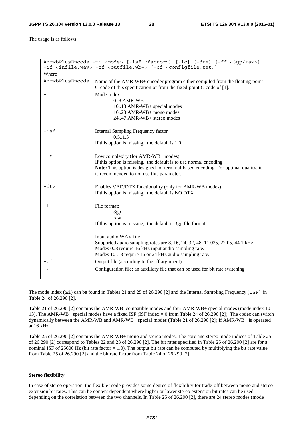The usage is as follows:

|                 | AmrwbPlusEncode -mi <mode> [-isf <factor>] [-lc] [-dtx] [-ff &lt;3qp/raw&gt;]<br/>-if <infile.wav> -of <outfile.wb+> [-cf <configfile.txt>]</configfile.txt></outfile.wb+></infile.wav></factor></mode>                                    |
|-----------------|--------------------------------------------------------------------------------------------------------------------------------------------------------------------------------------------------------------------------------------------|
| Where           |                                                                                                                                                                                                                                            |
| AmrwbPlusEncode | Name of the AMR-WB+ encoder program either compiled from the floating-point<br>C-code of this specification or from the fixed-point C-code of [1].                                                                                         |
| -mi             | Mode Index<br>$0.8$ AMR-WB<br>1013 AMR-WB+ special modes<br>$16.23$ AMR-WB+ mono modes<br>2447 AMR-WB+ stereo modes                                                                                                                        |
| $-$ isf         | Internal Sampling Frequency factor<br>0.51.5<br>If this option is missing, the default is $1.0$                                                                                                                                            |
| $-1c$           | Low complexity (for AMR-WB+ modes)<br>If this option is missing, the default is to use normal encoding.<br>Note: This option is designed for terminal-based encoding. For optimal quality, it<br>is recommended to not use this parameter. |
| $-dtx$          | Enables VAD/DTX functionality (only for AMR-WB modes)<br>If this option is missing, the default is NO DTX                                                                                                                                  |
| $-ff$           | File format:<br>3gp<br>raw<br>If this option is missing, the default is 3gp file format.                                                                                                                                                   |
| $-$ if          | Input audio WAV file<br>Supported audio sampling rates are 8, 16, 24, 32, 48, 11.025, 22.05, 44.1 kHz<br>Modes 08 require 16 kHz input audio sampling rate.<br>Modes 1013 require 16 or 24 kHz audio sampling rate.                        |
| $-$ of          | Output file (according to the -ff argument)                                                                                                                                                                                                |
| $-cf$           | Configuration file: an auxiliary file that can be used for bit rate switching                                                                                                                                                              |

The mode index (mi) can be found in Tables 21 and 25 of 26.290 [2] and the Internal Sampling Frequency (ISF) in Table 24 of 26.290 [2].

Table 21 of 26.290 [2] contains the AMR-WB–compatible modes and four AMR-WB+ special modes (mode index 10- 13). The AMR-WB+ special modes have a fixed ISF (ISF index = 0 from Table 24 of 26.290 [2]). The codec can switch dynamically between the AMR-WB and AMR-WB+ special modes (Table 21 of 26.290 [2]) if AMR-WB+ is operated at 16 kHz.

Table 25 of 26.290 [2] contains the AMR-WB+ mono and stereo modes. The core and stereo mode indices of Table 25 of 26.290 [2] correspond to Tables 22 and 23 of 26.290 [2]. The bit rates specified in Table 25 of 26.290 [2] are for a nominal ISF of 25600 Hz (bit rate factor  $= 1.0$ ). The output bit rate can be computed by multiplying the bit rate value from Table 25 of 26.290 [2] and the bit rate factor from Table 24 of 26.290 [2].

#### **Stereo flexibility**

In case of stereo operation, the flexible mode provides some degree of flexibility for trade-off between mono and stereo extension bit rates. This can be content dependent where higher or lower stereo extension bit rates can be used depending on the correlation between the two channels. In Table 25 of 26.290 [2], there are 24 stereo modes (mode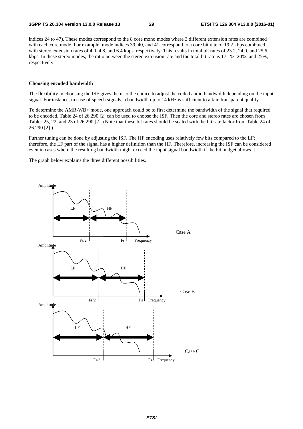indices 24 to 47). These modes correspond to the 8 core mono modes where 3 different extension rates are combined with each core mode. For example, mode indices 39, 40, and 41 correspond to a core bit rate of 19.2 kbps combined with stereo extension rates of 4.0, 4.8, and 6.4 kbps, respectively. This results in total bit rates of 23.2, 24.0, and 25.6 kbps. In these stereo modes, the ratio between the stereo extension rate and the total bit rate is 17.1%, 20%, and 25%, respectively.

#### **Choosing encoded bandwidth**

The flexibility in choosing the ISF gives the user the choice to adjust the coded audio bandwidth depending on the input signal. For instance, in case of speech signals, a bandwidth up to 14 kHz is sufficient to attain transparent quality.

To determine the AMR-WB+ mode, one approach could be to first determine the bandwidth of the signal that required to be encoded. Table 24 of 26.290 [2] can be used to choose the ISF. Then the core and stereo rates are chosen from Tables 25, 22, and 23 of 26.290 [2]. (Note that these bit rates should be scaled with the bit rate factor from Table 24 of 26.290 [2].)

Further tuning can be done by adjusting the ISF. The HF encoding uses relatively few bits compared to the LF; therefore, the LF part of the signal has a higher definition than the HF. Therefore, increasing the ISF can be considered even in cases where the resulting bandwidth might exceed the input signal bandwidth if the bit budget allows it.

The graph below explains the three different possibilities.

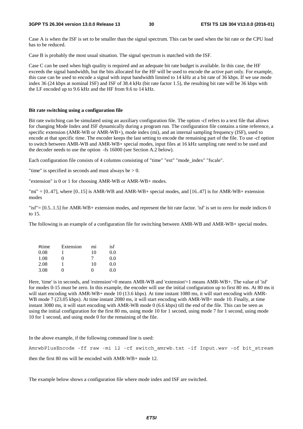#### **3GPP TS 26.304 version 13.0.0 Release 13 30 ETSI TS 126 304 V13.0.0 (2016-01)**

Case A is when the ISF is set to be smaller than the signal spectrum. This can be used when the bit rate or the CPU load has to be reduced.

Case B is probably the most usual situation. The signal spectrum is matched with the ISF.

Case C can be used when high quality is required and an adequate bit rate budget is available. In this case, the HF exceeds the signal bandwidth, but the bits allocated for the HF will be used to encode the active part only. For example, this case can be used to encode a signal with input bandwidth limited to 14 kHz at a bit rate of 36 kbps. If we use mode index 36 (24 kbps at nominal ISF) and ISF of 38.4 kHz (bit rate factor 1.5), the resulting bit rate will be 36 kbps with the LF encoded up to 9.6 kHz and the HF from 9.6 to 14 kHz.

#### **Bit rate switching using a configuration file**

Bit rate switching can be simulated using an auxiliary configuration file. The option -cf refers to a text file that allows for changing Mode Index and ISF dynamically during a program run. The configuration file contains a time reference, a specific extension (AMR-WB or AMR-WB+), mode index (mi), and an internal sampling frequency (ISF), used to encode at that specific time. The encoder keeps the last setting to encode the remaining part of the file. To use -cf option to switch between AMR-WB and AMR-WB+ special modes, input files at 16 kHz sampling rate need to be used and the decoder needs to use the option -fs 16000 (see Section A.2 below).

Each configuration file consists of 4 columns consisting of "time" "ext" "mode\_index" "fscale".

"time" is specified in seconds and must always be  $> 0$ .

"extension" is 0 or 1 for choosing AMR-WB or AMR-WB+ modes.

"mi" =  $[0..47]$ , where  $[0..15]$  is AMR-WB and AMR-WB+ special modes, and  $[16..47]$  is for AMR-WB+ extension modes

"isf"= [0.5..1.5] for AMR-WB+ extension modes, and represent the bit rate factor. 'isf' is set to zero for mode indices 0 to 15.

The following is an example of a configuration file for switching between AMR-WB and AMR-WB+ special modes.

| #time | Extension | mı                | isf |
|-------|-----------|-------------------|-----|
| 0.08  |           | 10                | 0.0 |
| 1.08  | 0         |                   | 0.0 |
| 2.08  |           | 10                | 0.0 |
| 3.08  | 0         | $\mathbf{\Omega}$ | 00  |

Here, 'time' is in seconds, and 'extension'=0 means AMR-WB and 'extension'=1 means AMR-WB+. The value of 'isf' for modes 0-15 must be zero. In this example, the encoder will use the initial configuration up to first 80 ms. At 80 ms it will start encoding with AMR-WB+ mode 10 (13.6 kbps). At time instant 1080 ms, it will start encoding with AMR-WB mode 7 (23.05 kbps). At time instant 2080 ms, it will start encoding with AMR-WB+ mode 10. Finally, at time instant 3080 ms, it will start encoding with AMR-WB mode 0 (6.6 kbps) till the end of the file. This can be seen as using the initial configuration for the first 80 ms, using mode 10 for 1 second, using mode 7 for 1 second, using mode 10 for 1 second, and using mode 0 for the remaining of the file.

In the above example, if the following command line is used:

AmrwbPlusEncode -ff raw -mi 12 -cf switch\_amrwb.txt -if Input.wav -of bit\_stream then the first 80 ms will be encoded with AMR-WB+ mode 12.

The example below shows a configuration file where mode index and ISF are switched.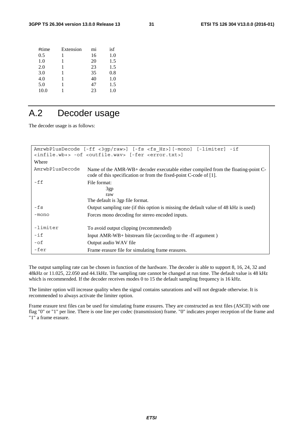| #time | Extension | mi | isf |
|-------|-----------|----|-----|
| 0.5   |           | 16 | 1.0 |
| 1.0   | 1         | 20 | 1.5 |
| 2.0   | 1         | 23 | 1.5 |
| 3.0   | 1         | 35 | 0.8 |
| 4.0   | 1         | 40 | 1.0 |
| 5.0   |           | 47 | 1.5 |
| 10.0  |           | 23 | 1.0 |
|       |           |    |     |

### A.2 Decoder usage

The decoder usage is as follows:

| AmrwbPlusDecode [-ff <3gp/raw>] [-fs <fs hz="">][-mono] [-limiter] -if<br/><infile.wb+> -of <outfile.wav> [-fer <error.txt>]</error.txt></outfile.wav></infile.wb+></fs> |                                                                                                                                                        |  |  |  |
|--------------------------------------------------------------------------------------------------------------------------------------------------------------------------|--------------------------------------------------------------------------------------------------------------------------------------------------------|--|--|--|
| Where                                                                                                                                                                    |                                                                                                                                                        |  |  |  |
| AmrwbPlusDecode                                                                                                                                                          | Name of the AMR-WB+ decoder executable either compiled from the floating-point C-<br>code of this specification or from the fixed-point C-code of [1]. |  |  |  |
| -ff                                                                                                                                                                      | File format:<br>3gp<br>raw<br>The default is 3gp file format.                                                                                          |  |  |  |
| -fs                                                                                                                                                                      | Output sampling rate (if this option is missing the default value of 48 kHz is used)                                                                   |  |  |  |
| -mono                                                                                                                                                                    | Forces mono decoding for stereo encoded inputs.                                                                                                        |  |  |  |
| -limiter                                                                                                                                                                 | To avoid output clipping (recommended)                                                                                                                 |  |  |  |
| $-$ if                                                                                                                                                                   | Input AMR-WB+ bitstream file (according to the -ff argument)                                                                                           |  |  |  |
| $- of$                                                                                                                                                                   | Output audio WAV file                                                                                                                                  |  |  |  |
| -fer                                                                                                                                                                     | Frame erasure file for simulating frame erasures.                                                                                                      |  |  |  |

The output sampling rate can be chosen in function of the hardware. The decoder is able to support 8, 16, 24, 32 and 48kHz or 11.025, 22.050 and 44.1kHz. The sampling rate cannot be changed at run time. The default value is 48 kHz which is recommended. If the decoder receives modes 0 to 15 the default sampling frequency is 16 kHz.

The limiter option will increase quality when the signal contains saturations and will not degrade otherwise. It is recommended to always activate the limiter option.

Frame erasure text files can be used for simulating frame erasures. They are constructed as text files (ASCII) with one flag "0" or "1" per line. There is one line per codec (transmission) frame. "0" indicates proper reception of the frame and "1" a frame erasure.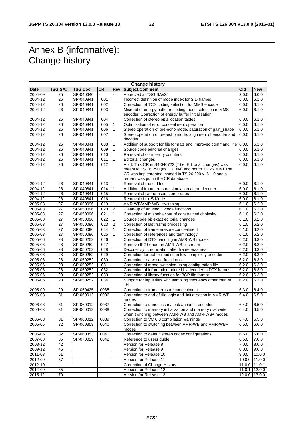### Annex B (informative): Change history

| <b>Change history</b> |                 |           |           |                |                                                                                                                                                                                                                        |       |                 |
|-----------------------|-----------------|-----------|-----------|----------------|------------------------------------------------------------------------------------------------------------------------------------------------------------------------------------------------------------------------|-------|-----------------|
| Date                  | TSG SA#         | TSG Doc.  | <b>CR</b> | Rev            | Subject/Comment                                                                                                                                                                                                        | Old   | <b>New</b>      |
| 2004-09               | 25              | SP-040640 |           |                | Approved at TSG SA#25                                                                                                                                                                                                  | 2.0.0 | 6.0.0           |
| 2004-12               | 26              | SP-040841 | 001       |                | Incorrect definition of mode index for SID frames                                                                                                                                                                      | 6.0.0 | 6.1.0           |
| 2004-12               | 26              | SP-040841 | 002       |                | Correction of TCX coding selection for MMS encoder                                                                                                                                                                     | 6.0.0 | 6.1.0           |
| 2004-12               | 26              | SP-040841 | 003       |                | Misread of energy buffer in coding mode selection in MMS                                                                                                                                                               | 6.0.0 | 6.1.0           |
|                       |                 |           |           |                | encoder. Correction of energy buffer initialisation                                                                                                                                                                    |       |                 |
| $2004 - 12$           | 26              | SP-040841 | 004       |                | Correction of stereo bit allocation tables                                                                                                                                                                             | 6.0.0 | 6.1.0           |
| 2004-12               | 26              | SP-040841 | 005       |                | Optimization of error concealment operation                                                                                                                                                                            | 6.0.0 | 6.1.0           |
| 2004-12               | 26              | SP-040841 | 006       |                | Stereo operation of pre-echo mode, saturation of gain_shape                                                                                                                                                            | 6.0.0 | 6.1.0           |
| 2004-12               | 26              | SP-040841 | 007       |                | Stereo operation of pre-echo mode, alignment of encoder and<br>decoder                                                                                                                                                 | 6.0.0 | 6.1.0           |
| 2004-12               | 26              | SP-040841 | 008       |                | Addition of support for file formats and improved command line                                                                                                                                                         | 6.0.0 | 6.1.0           |
| 2004-12               | 26              | SP-040841 | 009       |                | Source code editorial changes                                                                                                                                                                                          | 6.0.0 | 6.1.0           |
| 2004-12               | 26              | SP-040841 | 010       |                | Removal of complexity counters                                                                                                                                                                                         | 6.0.0 | 6.1.0           |
| 2004-12               | 26              | SP-040841 | 011       |                | <b>Editorial changes</b>                                                                                                                                                                                               | 6.0.0 | 6.1.0           |
| 2004-12               | 26              | SP-040841 | 012       |                | Void. This CR in S4-040722 (Title: Editorial changes) was<br>meant to TS 26.290 (as CR 004) and not to TS 26.304 ! The<br>CR was implemented instead in TS 26.290 v. 6.1.0 and a<br>remark was put in the CR database. | 6.0.0 | 6.1.0           |
| 2004-12               | 26              | SP-040841 | 013       |                | Removal of the eid tool                                                                                                                                                                                                | 6.0.0 | 6.1.0           |
| 2004-12               | 26              | SP-040841 | 014       |                | Addition of frame erasure simulation at the decoder                                                                                                                                                                    | 6.0.0 | 6.1.0           |
| 2004-12               | 26              | SP-040841 | 015       |                | Removal of two unused stereo rates                                                                                                                                                                                     | 6.0.0 | 6.1.0           |
| 2004-12               | 26              | SP-040841 | 016       |                | Removal of extStMode                                                                                                                                                                                                   | 6.0.0 | 6.1.0           |
| 2005-03               | 27              | SP-050096 | 019       |                | AMR-WB/AMR-WB+ switching                                                                                                                                                                                               | 6.1.0 | 6.2.0           |
| 2005-03               | 27              | SP-050096 | 020       | $\overline{c}$ | Clean-up of unused C-code functions                                                                                                                                                                                    | 6.1.0 | 6.2.0           |
| 2005-03               | 27              | SP-050096 | 021       | 1              | Correction of misbehaviour of constrained cholesky                                                                                                                                                                     | 6.1.0 | 6.2.0           |
| 2005-03               | 27              | SP-050096 | 022       |                | Source code bit exact editorial changes                                                                                                                                                                                | 6.1.0 | 6.2.0           |
| 2005-03               | 27              | SP-050096 | 023       | 2              | Correction of last frame processing                                                                                                                                                                                    | 6.1.0 | 6.2.0           |
| 2005-03               | 27              | SP-050096 | 024       | 1              | Correction of frame erasure concealment                                                                                                                                                                                | 6.1.0 | 6.2.0           |
| 2005-03               | 27              | SP-050096 | 025       |                | Correction of references and terminology                                                                                                                                                                               | 6.1.0 | 6.2.0           |
| 2005-06               | 28              | SP-050252 | 026       |                | Correction of DTX handling in AMR-WB modes                                                                                                                                                                             | 6.2.0 | 6.3.0           |
| 2005-06               | 28              | SP-050252 | 027       |                | Remove IF2 header in AMR-WB bitstream                                                                                                                                                                                  | 6.2.0 | 6.3.0           |
| 2005-06               | 28              | SP-050252 | 028       |                | Decoder synchronization after frame erasures                                                                                                                                                                           | 6.2.0 | 6.3.0           |
| 2005-06               | 28              | SP-050252 | 029       |                | Correction for buffer reading in low complexity encoder                                                                                                                                                                | 6.2.0 | 6.3.0           |
| 2005-06               | 28              | SP-050252 | 030       |                | Correction to a wrong function call                                                                                                                                                                                    | 6.2.0 | 6.3.0           |
| 2005-06               | 28              | SP-050252 | 031       |                | Correction of mode switching using configuration file                                                                                                                                                                  | 6.2.0 | 6.3.0           |
| 2005-06               | 28              | SP-050252 | 032       |                | Correction of information printed by decoder in DTX frames                                                                                                                                                             | 6.2.0 | 6.3.0           |
| 2005-06               | 28              | SP-050252 | 033       |                | Correction of library function for 3GP file format                                                                                                                                                                     | 6.2.0 | 6.3.0           |
| 2005-06               | 28              | SP-050252 | 034       |                | Support for input files with sampling frequency other than 48<br>kHz                                                                                                                                                   | 6.2.0 | 6.3.0           |
| 2005-09               | 29              | SP-050425 | 0035      |                | Correction to frame erasure concealment                                                                                                                                                                                | 6.3.0 | 6.4.0           |
| 2006-03               | 31              | SP-060012 | 0036      |                | Correction to end-of-file logic and initialisation in AMR-WB<br>modes                                                                                                                                                  | 6.4.0 | 6.5.0           |
| 2006-03               | 31              | SP-060012 | 0037      |                | Correction to unnecessary look ahead in encoder                                                                                                                                                                        | 6.4.0 | 6.5.0           |
| 2006-03               | 31              | SP-060012 | 0038      |                | Correction to memory initialization and memory overwrite<br>when switching between AMR-WB and AMR-WB+ modes                                                                                                            | 6.4.0 | 6.5.0           |
| 2006-03               | 31              | SP-060012 | 0039      |                | Correction to VC 6.0 compilation warnings                                                                                                                                                                              | 6.4.0 | 6.5.0           |
| 2006-06               | 32              | SP-060353 | 0040      |                | Correction to switching between AMR-WB and AMR-WB+                                                                                                                                                                     | 6.5.0 | 6.6.0           |
|                       |                 |           |           |                | modes                                                                                                                                                                                                                  |       |                 |
| 2006-06               | 32              | SP-060353 | 0041      |                | Correction to default stereo codec configurations                                                                                                                                                                      | 6.5.0 | 6.6.0           |
| 2007-03               | $\overline{35}$ | SP-070029 | 0042      |                | Reference to users guide                                                                                                                                                                                               | 6.6.0 | 7.0.0           |
| 2008-12               | 42              |           |           |                | Version for Release 8                                                                                                                                                                                                  | 7.0.0 | 8.0.0           |
| 2009-12               | 46              |           |           |                | Version for Release 9                                                                                                                                                                                                  | 8.0.0 | 9.0.0           |
| 2011-03               | 51              |           |           |                | Version for Release 10                                                                                                                                                                                                 | 9.0.0 | 10.0.0          |
| 2012-09               | $\overline{57}$ |           |           |                | Version for Release 11                                                                                                                                                                                                 |       | 10.0.0 11.0.0   |
| 2012-10               |                 |           |           |                | Correction of Change History                                                                                                                                                                                           |       | 11.0.0 11.0.1   |
| 2014-09               | 65              |           |           |                | Version for Release 12                                                                                                                                                                                                 |       | 11.0.1 12.0.0   |
| 2015-12               | 70              |           |           |                | Version for Release 13                                                                                                                                                                                                 |       | $12.0.0$ 13.0.0 |